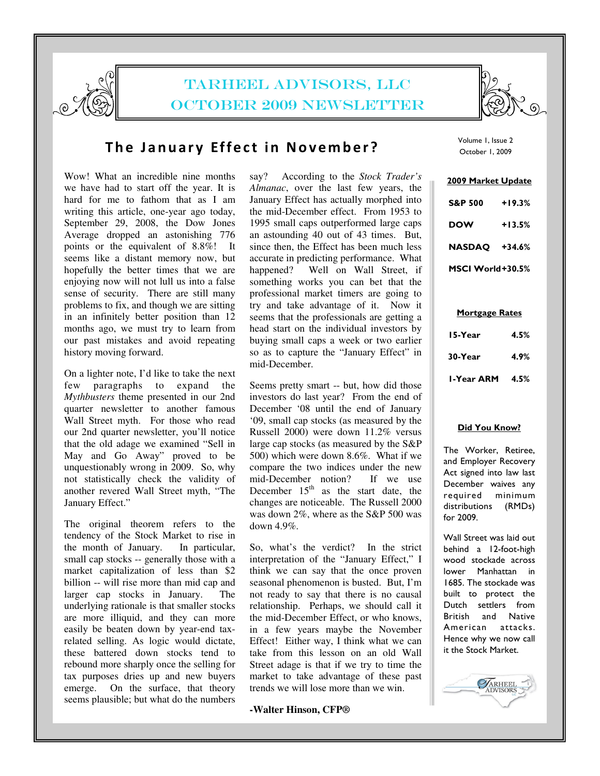

# TARHEEL ADVISORS, LLC OCTOBER 2009 NEWSLETTER



## The January Effect in November?

Wow! What an incredible nine months we have had to start off the year. It is hard for me to fathom that as I am writing this article, one-year ago today, September 29, 2008, the Dow Jones Average dropped an astonishing 776 points or the equivalent of 8.8%! It seems like a distant memory now, but hopefully the better times that we are enjoying now will not lull us into a false sense of security. There are still many problems to fix, and though we are sitting in an infinitely better position than 12 months ago, we must try to learn from our past mistakes and avoid repeating history moving forward.

On a lighter note, I'd like to take the next few paragraphs to expand the *Mythbusters* theme presented in our 2nd quarter newsletter to another famous Wall Street myth. For those who read our 2nd quarter newsletter, you'll notice that the old adage we examined "Sell in May and Go Away" proved to be unquestionably wrong in 2009. So, why not statistically check the validity of another revered Wall Street myth, "The January Effect."

The original theorem refers to the tendency of the Stock Market to rise in the month of January. In particular, small cap stocks -- generally those with a market capitalization of less than \$2 billion -- will rise more than mid cap and larger cap stocks in January. The underlying rationale is that smaller stocks are more illiquid, and they can more easily be beaten down by year-end taxrelated selling. As logic would dictate, these battered down stocks tend to rebound more sharply once the selling for tax purposes dries up and new buyers emerge. On the surface, that theory seems plausible; but what do the numbers

say? According to the *Stock Trader's Almanac*, over the last few years, the January Effect has actually morphed into the mid-December effect. From 1953 to 1995 small caps outperformed large caps an astounding 40 out of 43 times. But, since then, the Effect has been much less accurate in predicting performance. What happened? Well on Wall Street, if something works you can bet that the professional market timers are going to try and take advantage of it. Now it seems that the professionals are getting a head start on the individual investors by buying small caps a week or two earlier so as to capture the "January Effect" in mid-December.

Seems pretty smart -- but, how did those investors do last year? From the end of December '08 until the end of January '09, small cap stocks (as measured by the Russell 2000) were down 11.2% versus large cap stocks (as measured by the S&P 500) which were down 8.6%. What if we compare the two indices under the new<br>mid-December notion? If we use mid-December notion? December  $15<sup>th</sup>$  as the start date, the changes are noticeable. The Russell 2000 was down 2%, where as the S&P 500 was down 4.9%.

So, what's the verdict? In the strict interpretation of the "January Effect," I think we can say that the once proven seasonal phenomenon is busted. But, I'm not ready to say that there is no causal relationship. Perhaps, we should call it the mid-December Effect, or who knows, in a few years maybe the November Effect! Either way, I think what we can take from this lesson on an old Wall Street adage is that if we try to time the market to take advantage of these past trends we will lose more than we win.

#### **-Walter Hinson, CFP®**

Volume 1, Issue 2 October 1, 2009

| 2009 Market Update |          |
|--------------------|----------|
| <b>S&amp;P 500</b> | +19.3%   |
| DOW                | $+13.5%$ |
| <b>NASDAQ</b>      | +34.6%   |
| MSCI World+30.5%   |          |

Mortgage Rates

| I-Year ARM | 4.5% |
|------------|------|
| 30-Year    | 4.9% |
| 15-Year    | 4.5% |

#### Did You Know?

The Worker, Retiree, and Employer Recovery Act signed into law last December waives any required minimum distributions (RMDs) for 2009.

Wall Street was laid out behind a 12-foot-high wood stockade across lower Manhattan in 1685. The stockade was built to protect the Dutch settlers from British and Native American attacks. Hence why we now call it the Stock Market.